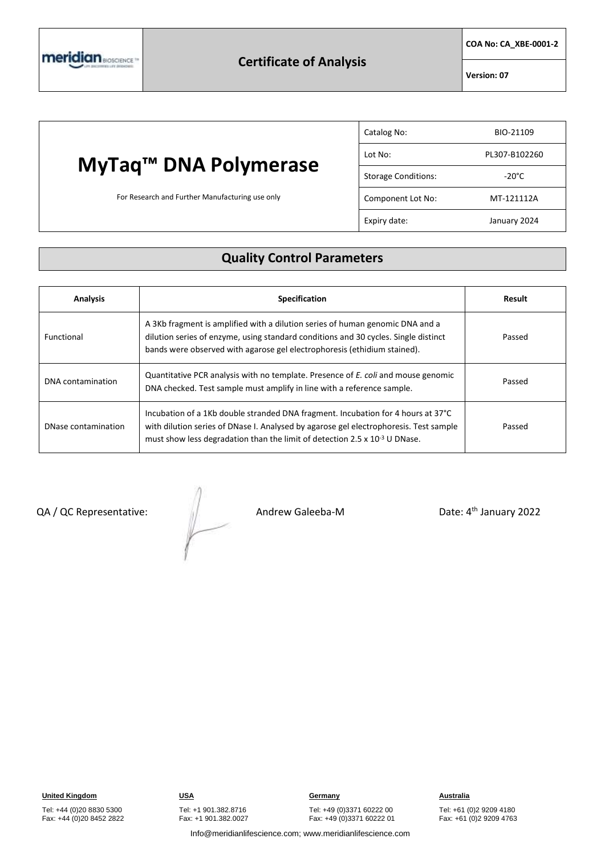

**COA No: CA\_XBE-0001-2**

**Version: 07**

## **MyTaq™ DNA Polymerase**

For Research and Further Manufacturing use only

| Catalog No:                | BIO-21109       |
|----------------------------|-----------------|
| Lot No:                    | PL307-B102260   |
| <b>Storage Conditions:</b> | $-20^{\circ}$ C |
| Component Lot No:          | MT-121112A      |
| Expiry date:               | January 2024    |

#### **Quality Control Parameters**

| <b>Analysis</b>     | <b>Specification</b>                                                                                                                                                                                                                                         | Result |
|---------------------|--------------------------------------------------------------------------------------------------------------------------------------------------------------------------------------------------------------------------------------------------------------|--------|
| Functional          | A 3Kb fragment is amplified with a dilution series of human genomic DNA and a<br>dilution series of enzyme, using standard conditions and 30 cycles. Single distinct<br>bands were observed with agarose gel electrophoresis (ethidium stained).             | Passed |
| DNA contamination   | Quantitative PCR analysis with no template. Presence of E. coli and mouse genomic<br>DNA checked. Test sample must amplify in line with a reference sample.                                                                                                  | Passed |
| DNase contamination | Incubation of a 1Kb double stranded DNA fragment. Incubation for 4 hours at 37°C<br>with dilution series of DNase I. Analysed by agarose gel electrophoresis. Test sample<br>must show less degradation than the limit of detection 2.5 x $10^{-3}$ U DNase. | Passed |

QA / QC Representative:  $\sqrt{2}$  Andrew Galeeba-M

Date: 4<sup>th</sup> January 2022

**United Kingdom CONSTRUMERY <b>CONSTRUMERY CONSTRUMERY Germany Construction CONSTRUMERY Australia** Tel: +49 (0)3371 60222 00 Fax: +49 (0)3371 60222 01

Tel: +61 (0)2 9209 4180 Fax: +61 (0)2 9209 4763